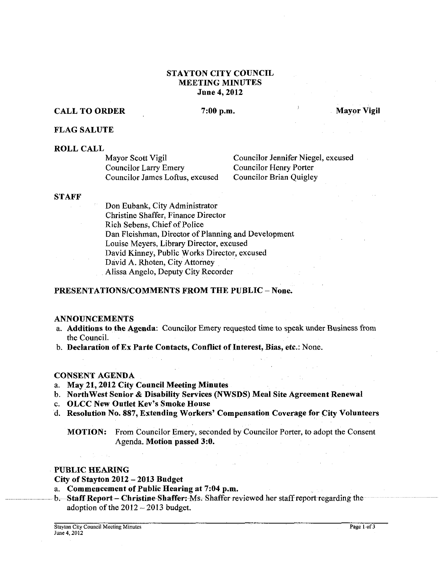# STAYTON CITY COUNCIL MEETING MINUTES June 4,2012

# CALL TO ORDER 7:00 p.m. Mayor Vigil

FLAG SALUTE

### ROLL CALL

Councilor Larry Emery<br>
Councilor Henry Porter<br>
Councilor Brian Quigley Councilor James Loftus, excused

Mayor Scott Vigil Councilor Jennifer Niegel, excused<br>
Councilor Larry Emery<br>
Councilor Henry Porter

### STAFF

Don Eubank, City Administrator Christine Shaffer, Finance Director Rich Sebens, Chief of Police Dan Fleishman, Director of Planning and Development Louise Meyers, Library Director, excused David Kinney, Public Works Director, excused David A. Rhoten, City Attorney Alissa Angelo, Deputy City Recorder

## PRESENTATIONS/COMMENTS FROM THE PUBLIC - None.

### **ANNOUNCEMENTS**

- a. Additions to the Agenda: Councilor Emery requested time to speak under Business from the Council.
- b. Declaration of Ex Parte Contacts, Conflict of Interest, Bias, etc.: None.

# CONSENT AGENDA

a. May 21,2012 City Council Meeting Minutes

 $\mathcal{L} \times \mathcal{L}$ 

- b. Northwest Senior & Disability Services (NWSDS) Meal Site Agreement Renewal
- c. OLCC New Outlet Kev's Smoke House
- d. Resolution No. 887, Extending Workers' Compensation Coverage for City Volunteers

MOTION: From Councilor Emery, seconded by Councilor Porter, to adopt the Consent Agenda. Motion passed 3:0.

**Carl County** 

## PUBLIC HEARING

 $\mathcal{L}_{\mathrm{L}}$  , and  $\mathcal{L}_{\mathrm{L}}$ 

### City of Stayton 2012 - 2013 Budget

- a. Commencement of Public Hearing at 7:04 p.m.
- b. Staff Report Christine Shaffer: Ms. Shaffer reviewed her staff report regarding the adoption of the 2012 - 2013 budget.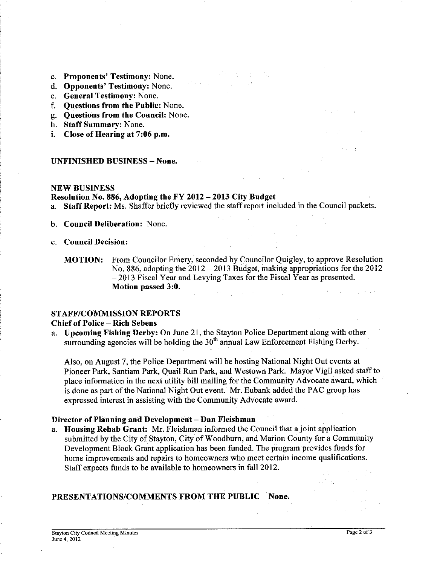- c. Proponents' Testimony: None.
- d. Opponents' Testimony: None.
- e. General Testimony: None.
- f. Questions from the Public: None.
- g. Questions from the Council: None.
- h. Staff Summary: None.
- i. Close of Hearing at 7:06 p.m.

### UNFINISHED BUSINESS - None.

### NEW BUSINESS

# Resolution No. 886, Adopting the FY 2012 - 2013 City Budget<br>a. Staff Report: Ms. Shaffer briefly reviewed the staff report inc.

Staff Report: Ms. Shaffer briefly reviewed the staff report included in the Council packets.

- b. Council Deliberation: None.
- c. Council Decision:

MOTION: From Councilor Emery, seconded by Councilor Quigley, to approve Resolution No. 886, adopting the  $2012 - 2013$  Budget, making appropriations for the 2012 - 2013 Fiscal Year and Levying Taxes for the Fiscal Year as presented. Motion passed 3:O.  $\mathcal{O}(\mathcal{A}(\Psi))$  , where  $\mathcal{O}(\mathcal{A}(\mathcal{A}))$  and  $\mathcal{O}(\mathcal{A}(\mathcal{A}))$ 

### STAFF/COMMISSION REPORTS

### Chief of Police - Rich Sebens

a. Upcoming Fishing Derby: On June 21, the Stayton Police Department along with other surrounding agencies will be holding the  $30<sup>th</sup>$  annual Law Enforcement Fishing Derby.

Also, on August 7, the Police Department will be hosting National Night Out events at Pioneer Park, Santiam Park, Quail Run Park, and Westown Park. Mayor Vigil asked staff to place information in the next utility bill mailing for the Community Advocate award, which is done as part of the National Night Out event. Mr. Eubank added the PAC group has expressed interest in assisting with the Community Advocate award.

### Director of Planning and Development - Dan Fleishman

Housing Rehab Grant: Mr. Fleishman informed the Council that a joint application submitted by the City of Stayton, City of Woodhurn, and Marion County for a Community Development Block Grant application has been funded. The program provides funds for home improvements and repairs to homeowners who meet certain income qualifications. Staff expects funds to be available to homeowners in fall 2012.

## PRESENTATIONS/COMMENTS FROM THE PUBLIC - None.